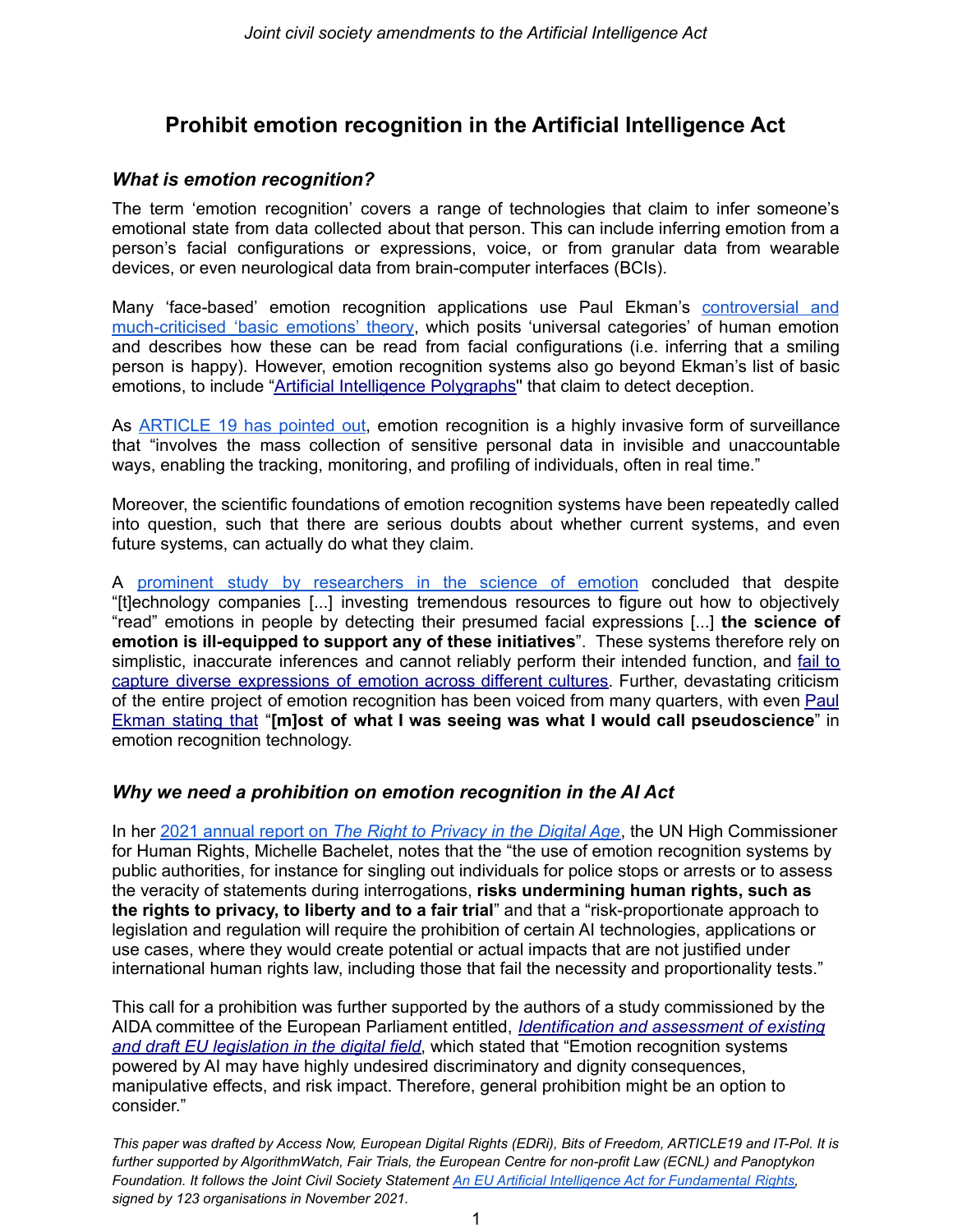# **Prohibit emotion recognition in the Artificial Intelligence Act**

### *What is emotion recognition?*

The term 'emotion recognition' covers a range of technologies that claim to infer someone's emotional state from data collected about that person. This can include inferring emotion from a person's facial configurations or expressions, voice, or from granular data from wearable devices, or even neurological data from brain-computer interfaces (BCIs).

Many 'face-based' emotion recognition applications use Paul Ekman's [controversial](https://onezero.medium.com/a-i-cant-detect-our-emotions-3c1f6fce2539) and [much-criticised](https://onezero.medium.com/a-i-cant-detect-our-emotions-3c1f6fce2539) 'basic emotions' theory, which posits 'universal categories' of human emotion and describes how these can be read from facial configurations (i.e. inferring that a smiling person is happy). However, emotion recognition systems also go beyond Ekman's list of basic emotions, to include "Artificial [Intelligence](https://www.law.georgetown.edu/georgetown-law-journal/wp-content/uploads/sites/26/2021/06/Hinkle-The_Modern_Law_Detector.pdf) Polygraphs'' that claim to detect deception.

As **[ARTICLE](https://www.article19.org/wp-content/uploads/2021/01/ER-Tech-China-Report.pdf)** 19 has pointed out, emotion recognition is a highly invasive form of surveillance that "involves the mass collection of sensitive personal data in invisible and unaccountable ways, enabling the tracking, monitoring, and profiling of individuals, often in real time."

Moreover, the scientific foundations of emotion recognition systems have been repeatedly called into question, such that there are serious doubts about whether current systems, and even future systems, can actually do what they claim.

A prominent study by [researchers](https://doi.org/10.1177%2F1529100619832930) in the science of emotion concluded that despite "[t]echnology companies [...] investing tremendous resources to figure out how to objectively "read" emotions in people by detecting their presumed facial expressions [...] **the science of emotion is ill-equipped to support any of these initiatives**". These systems therefore rely on simplistic, inaccurate inferences and cannot reliably perform their intended function, and [fail](https://abdn.pure.elsevier.com/en/publications/be-careful-where-you-smile-culture-shapes-judgments-of-intelligen) to capture diverse [expressions](https://abdn.pure.elsevier.com/en/publications/be-careful-where-you-smile-culture-shapes-judgments-of-intelligen) of emotion across different cultures. Further, devastating criticism of the entire project of emotion recognition has been voiced from many quarters, with even [Paul](https://www.ft.com/content/c0b03d1d-f72f-48a8-b342-b4a926109452) [Ekman](https://www.ft.com/content/c0b03d1d-f72f-48a8-b342-b4a926109452) stating that "**[m]ost of what I was seeing was what I would call pseudoscience**" in emotion recognition technology.

## *Why we need a prohibition on emotion recognition in the AI Act*

In her 2021 annual report on *The Right to [Privacy](https://www.ohchr.org/EN/Issues/DigitalAge/Pages/DigitalReports.aspx) in the Digital Age*, the UN High Commissioner for Human Rights, Michelle Bachelet, notes that the "the use of emotion recognition systems by public authorities, for instance for singling out individuals for police stops or arrests or to assess the veracity of statements during interrogations, **risks undermining human rights, such as the rights to privacy, to liberty and to a fair trial**" and that a "risk-proportionate approach to legislation and regulation will require the prohibition of certain AI technologies, applications or use cases, where they would create potential or actual impacts that are not justified under international human rights law, including those that fail the necessity and proportionality tests."

This call for a prohibition was further supported by the authors of a study commissioned by the AIDA committee of the European Parliament entitled, *[Identification](https://www.europarl.europa.eu/thinktank/en/document/IPOL_STU(2022)703345) and assessment of existing and draft EU [legislation](https://www.europarl.europa.eu/thinktank/en/document/IPOL_STU(2022)703345) in the digital field*, which stated that "Emotion recognition systems powered by AI may have highly undesired discriminatory and dignity consequences, manipulative effects, and risk impact. Therefore, general prohibition might be an option to consider."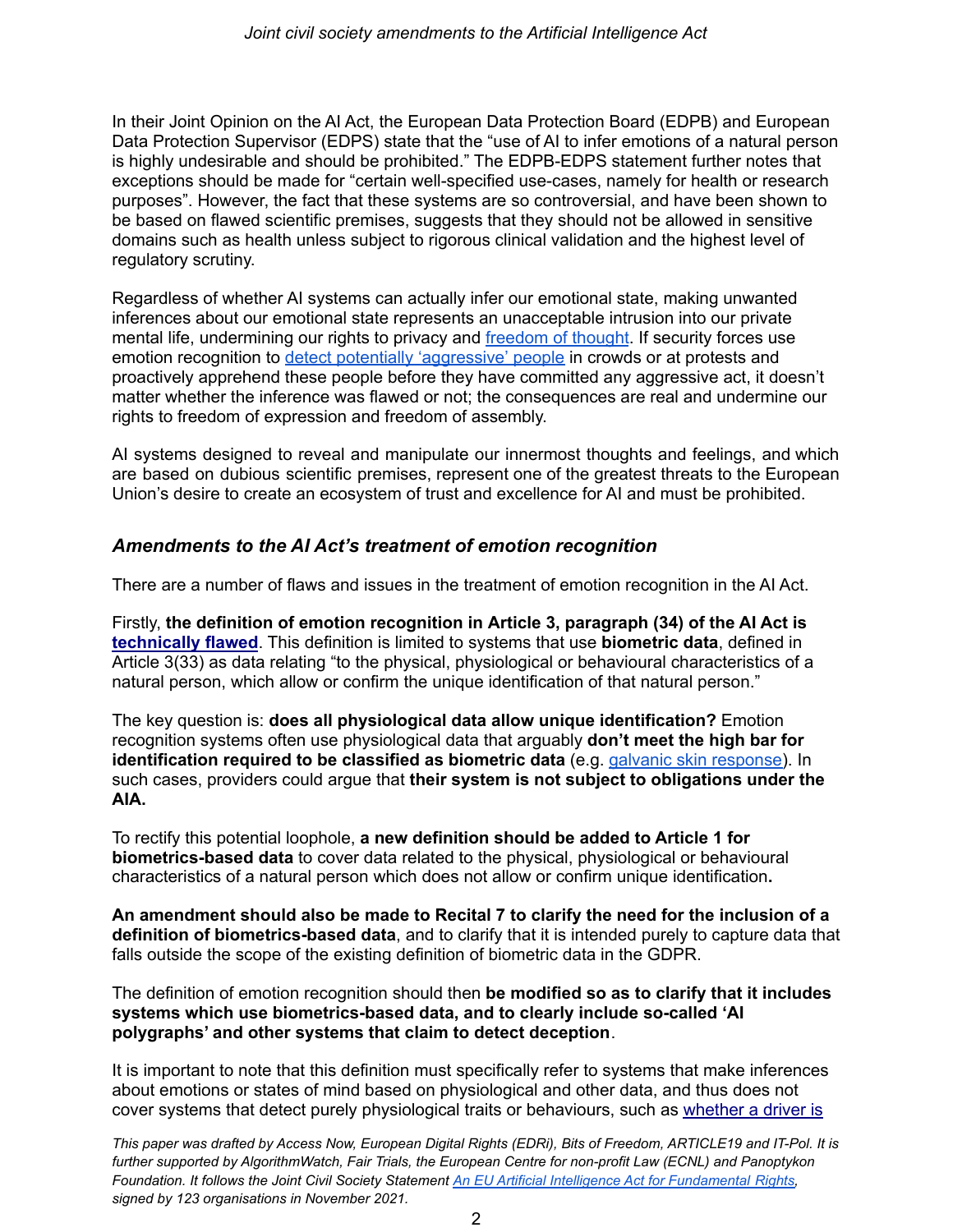In their Joint Opinion on the AI Act, the European Data Protection Board (EDPB) and European Data Protection Supervisor (EDPS) state that the "use of AI to infer emotions of a natural person is highly undesirable and should be prohibited." The EDPB-EDPS statement further notes that exceptions should be made for "certain well-specified use-cases, namely for health or research purposes". However, the fact that these systems are so controversial, and have been shown to be based on flawed scientific premises, suggests that they should not be allowed in sensitive domains such as health unless subject to rigorous clinical validation and the highest level of regulatory scrutiny.

Regardless of whether AI systems can actually infer our emotional state, making unwanted inferences about our emotional state represents an unacceptable intrusion into our private mental life, undermining our rights to privacy and [freedom](https://www.accessnow.org/cms/assets/uploads/2021/11/UN-Special-Rapporteur-on-Freedom-of-Religion-or-Belief_-Consultation-on-freedom-of-thought-technology.pdf) of thought. If security forces use emotion recognition to detect [potentially](https://thenextweb.com/news/british-police-to-trial-facial-recognition-system-that-detects-your-mood) ['aggressive](https://thenextweb.com/news/british-police-to-trial-facial-recognition-system-that-detects-your-mood)' [people](https://thenextweb.com/news/british-police-to-trial-facial-recognition-system-that-detects-your-mood) in crowds or at protests and proactively apprehend these people before they have committed any aggressive act, it doesn't matter whether the inference was flawed or not; the consequences are real and undermine our rights to freedom of expression and freedom of assembly.

AI systems designed to reveal and manipulate our innermost thoughts and feelings, and which are based on dubious scientific premises, represent one of the greatest threats to the European Union's desire to create an ecosystem of trust and excellence for AI and must be prohibited.

#### *Amendments to the AI Act's treatment of emotion recognition*

There are a number of flaws and issues in the treatment of emotion recognition in the AI Act.

Firstly, **the definition of emotion recognition in Article 3, paragraph (34) of the AI Act is [technically](https://www.europarl.europa.eu/RegData/etudes/STUD/2021/696968/IPOL_STU(2021)696968_EN.pdf) flawed**. This definition is limited to systems that use **biometric data**, defined in Article 3(33) as data relating "to the physical, physiological or behavioural characteristics of a natural person, which allow or confirm the unique identification of that natural person."

The key question is: **does all physiological data allow unique identification?** Emotion recognition systems often use physiological data that arguably **don't meet the high bar for identification required to be classified as biometric data** (e.g. galvanic skin [response\)](https://ieeexplore.ieee.org/document/7825064). In such cases, providers could argue that **their system is not subject to obligations under the AIA.**

To rectify this potential loophole, **a new definition should be added to Article 1 for biometrics-based data** to cover data related to the physical, physiological or behavioural characteristics of a natural person which does not allow or confirm unique identification**.**

**An amendment should also be made to Recital 7 to clarify the need for the inclusion of a definition of biometrics-based data**, and to clarify that it is intended purely to capture data that falls outside the scope of the existing definition of biometric data in the GDPR.

The definition of emotion recognition should then **be modified so as to clarify that it includes systems which use biometrics-based data, and to clearly include so-called 'AI polygraphs' and other systems that claim to detect deception**.

It is important to note that this definition must specifically refer to systems that make inferences about emotions or states of mind based on physiological and other data, and thus does not cover systems that detect purely physiological traits or behaviours, such as [whether](https://link.springer.com/chapter/10.1007/978-3-030-47679-3_4) a driver is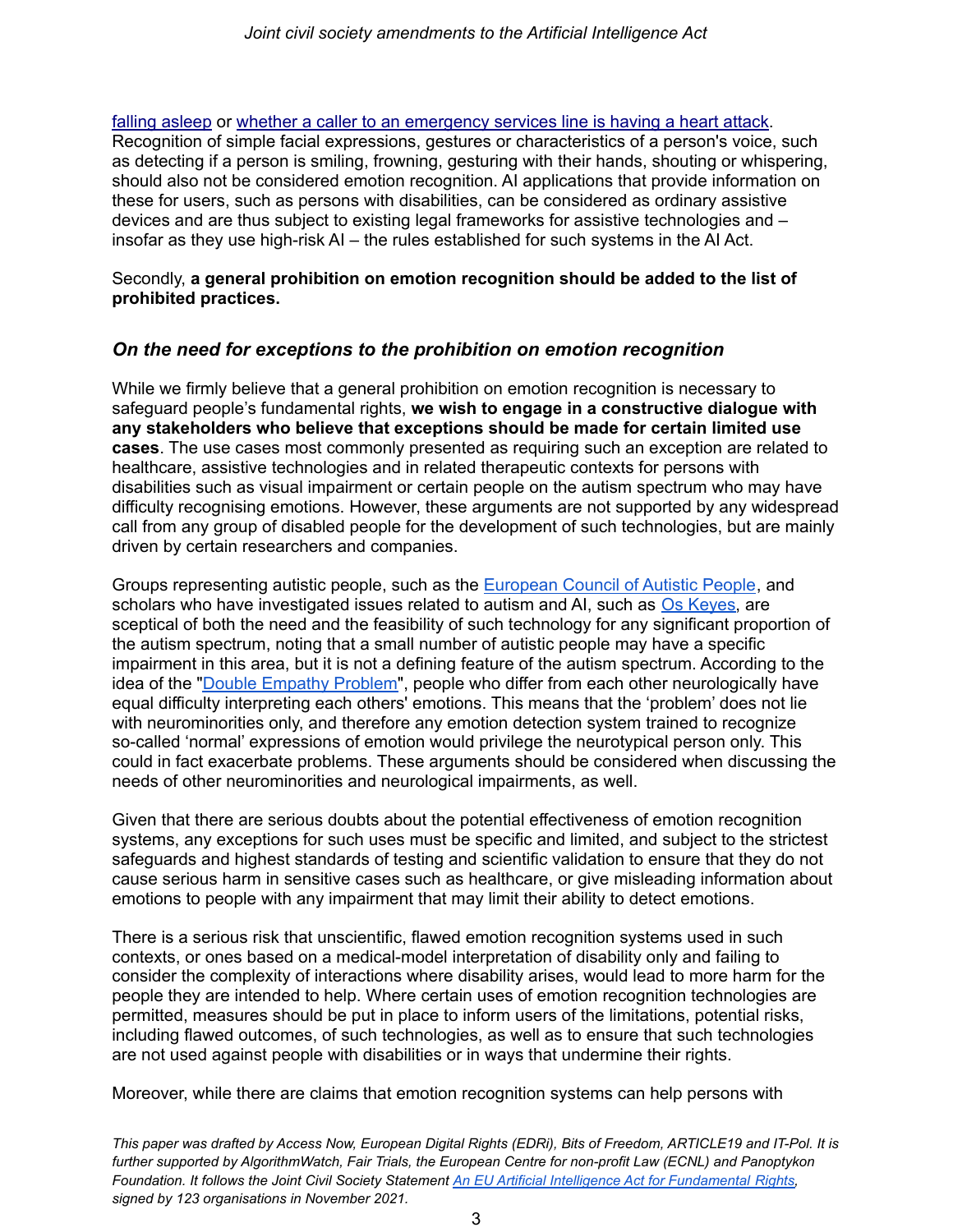falling [asleep](https://link.springer.com/chapter/10.1007/978-3-030-47679-3_4) or whether a caller to an [emergency](https://www.weforum.org/agenda/2018/06/this-ai-detects-cardiac-arrests-during-emergency-calls/) services line is having a heart attack. Recognition of simple facial expressions, gestures or characteristics of a person's voice, such as detecting if a person is smiling, frowning, gesturing with their hands, shouting or whispering, should also not be considered emotion recognition. AI applications that provide information on these for users, such as persons with disabilities, can be considered as ordinary assistive devices and are thus subject to existing legal frameworks for assistive technologies and – insofar as they use high-risk AI – the rules established for such systems in the AI Act.

Secondly, **a general prohibition on emotion recognition should be added to the list of prohibited practices.**

#### *On the need for exceptions to the prohibition on emotion recognition*

While we firmly believe that a general prohibition on emotion recognition is necessary to safeguard people's fundamental rights, **we wish to engage in a constructive dialogue with any stakeholders who believe that exceptions should be made for certain limited use cases**. The use cases most commonly presented as requiring such an exception are related to healthcare, assistive technologies and in related therapeutic contexts for persons with disabilities such as visual impairment or certain people on the autism spectrum who may have difficulty recognising emotions. However, these arguments are not supported by any widespread call from any group of disabled people for the development of such technologies, but are mainly driven by certain researchers and companies.

Groups representing autistic people, such as the [European](https://eucap.eu/about-eucap/) Council of Autistic People, and scholars who have investigated issues related to autism and AI, such as Os [Keyes,](https://digitalcommons.odu.edu/cgi/viewcontent.cgi?article=1021&context=sociotechnicalcritique) are sceptical of both the need and the feasibility of such technology for any significant proportion of the autism spectrum, noting that a small number of autistic people may have a specific impairment in this area, but it is not a defining feature of the autism spectrum. According to the idea of the "Double [Empathy](https://www.autism.org.uk/advice-and-guidance/professional-practice/double-empathy) Problem", people who differ from each other neurologically have equal difficulty interpreting each others' emotions. This means that the 'problem' does not lie with neurominorities only, and therefore any emotion detection system trained to recognize so-called 'normal' expressions of emotion would privilege the neurotypical person only. This could in fact exacerbate problems. These arguments should be considered when discussing the needs of other neurominorities and neurological impairments, as well.

Given that there are serious doubts about the potential effectiveness of emotion recognition systems, any exceptions for such uses must be specific and limited, and subject to the strictest safeguards and highest standards of testing and scientific validation to ensure that they do not cause serious harm in sensitive cases such as healthcare, or give misleading information about emotions to people with any impairment that may limit their ability to detect emotions.

There is a serious risk that unscientific, flawed emotion recognition systems used in such contexts, or ones based on a medical-model interpretation of disability only and failing to consider the complexity of interactions where disability arises, would lead to more harm for the people they are intended to help. Where certain uses of emotion recognition technologies are permitted, measures should be put in place to inform users of the limitations, potential risks, including flawed outcomes, of such technologies, as well as to ensure that such technologies are not used against people with disabilities or in ways that undermine their rights.

Moreover, while there are claims that emotion recognition systems can help persons with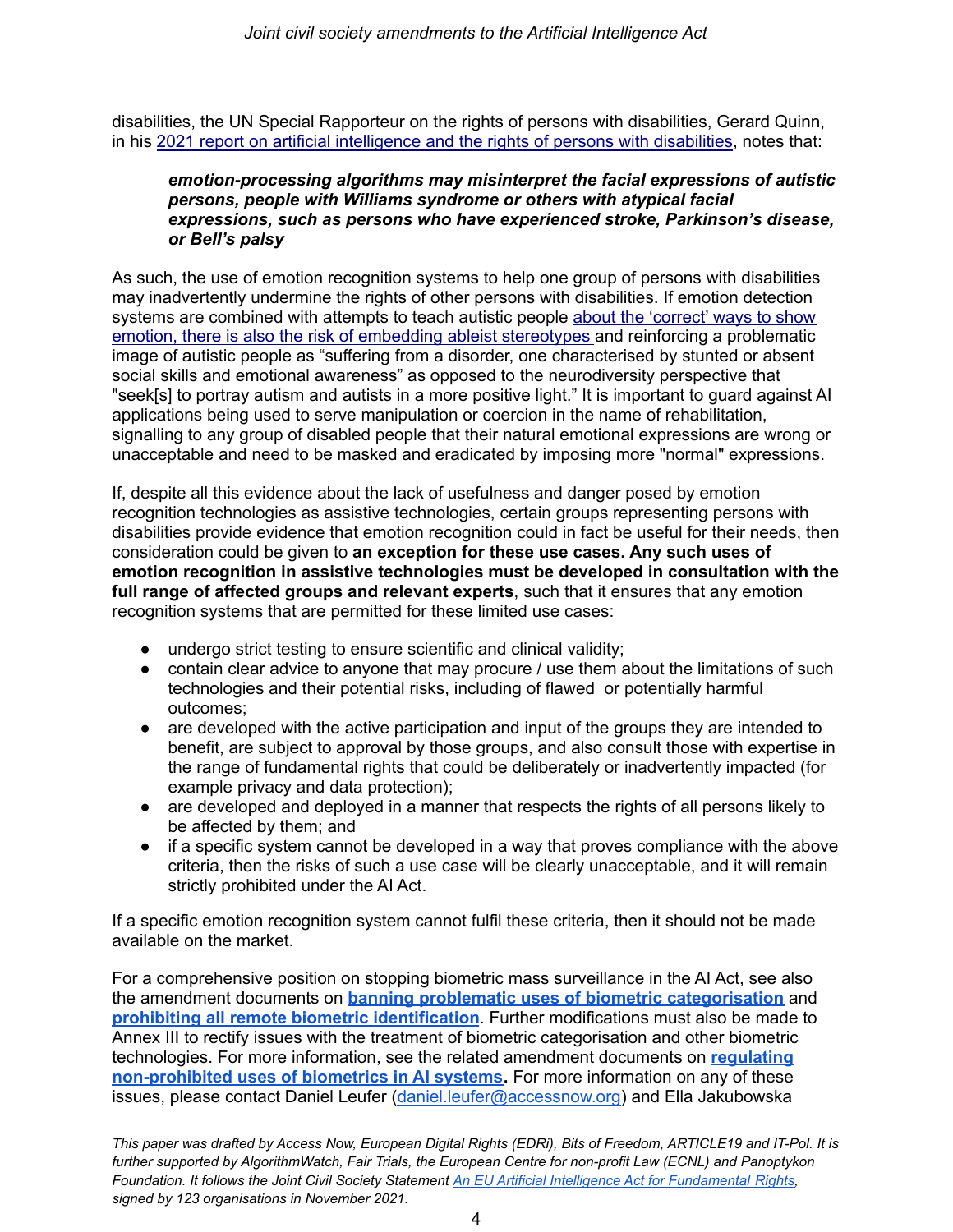disabilities, the UN Special Rapporteur on the rights of persons with disabilities, Gerard Quinn, in his 2021 report on artificial [intelligence](https://undocs.org/en/A/HRC/49/52) and the rights of persons with disabilities, notes that:

#### *emotion-processing algorithms may misinterpret the facial expressions of autistic persons, people with Williams syndrome or others with atypical facial expressions, such as persons who have experienced stroke, Parkinson's disease, or Bell's palsy*

As such, the use of emotion recognition systems to help one group of persons with disabilities may inadvertently undermine the rights of other persons with disabilities. If emotion detection systems are combined with attempts to teach autistic people about the ['correct'](https://digitalcommons.odu.edu/cgi/viewcontent.cgi?article=1021&context=sociotechnicalcritique) ways to show emotion, there is also the risk of embedding ableist [stereotypes](https://digitalcommons.odu.edu/cgi/viewcontent.cgi?article=1021&context=sociotechnicalcritique) and reinforcing a problematic image of autistic people as "suffering from a disorder, one characterised by stunted or absent social skills and emotional awareness" as opposed to the neurodiversity perspective that "seek[s] to portray autism and autists in a more positive light." It is important to guard against AI applications being used to serve manipulation or coercion in the name of rehabilitation, signalling to any group of disabled people that their natural emotional expressions are wrong or unacceptable and need to be masked and eradicated by imposing more "normal" expressions.

If, despite all this evidence about the lack of usefulness and danger posed by emotion recognition technologies as assistive technologies, certain groups representing persons with disabilities provide evidence that emotion recognition could in fact be useful for their needs, then consideration could be given to **an exception for these use cases. Any such uses of emotion recognition in assistive technologies must be developed in consultation with the full range of affected groups and relevant experts**, such that it ensures that any emotion recognition systems that are permitted for these limited use cases:

- undergo strict testing to ensure scientific and clinical validity;
- contain clear advice to anyone that may procure / use them about the limitations of such technologies and their potential risks, including of flawed or potentially harmful outcomes;
- are developed with the active participation and input of the groups they are intended to benefit, are subject to approval by those groups, and also consult those with expertise in the range of fundamental rights that could be deliberately or inadvertently impacted (for example privacy and data protection);
- are developed and deployed in a manner that respects the rights of all persons likely to be affected by them; and
- if a specific system cannot be developed in a way that proves compliance with the above criteria, then the risks of such a use case will be clearly unacceptable, and it will remain strictly prohibited under the AI Act.

If a specific emotion recognition system cannot fulfil these criteria, then it should not be made available on the market.

For a comprehensive position on stopping biometric mass surveillance in the AI Act, see also the amendment documents on **banning problematic uses of biometric [categorisation](https://www.accessnow.org/AIAct-biometric-categorisation)** and **prohibiting all remote biometric [identification](https://edri.org/our-work/the-eus-artificial-intelligence-act-civil-society-amendments/)**. Further modifications must also be made to Annex III to rectify issues with the treatment of biometric categorisation and other biometric technologies. For more information, see the related amendment documents on **[regulating](https://edri.org/our-work/the-eus-artificial-intelligence-act-civil-society-amendments/) [non-prohibited](https://edri.org/our-work/the-eus-artificial-intelligence-act-civil-society-amendments/) uses of biometrics in AI systems.** For more information on any of these issues, please contact Daniel Leufer [\(daniel.leufer@accessnow.org](mailto:daniel.leufer@accessnow.org)) and Ella Jakubowska